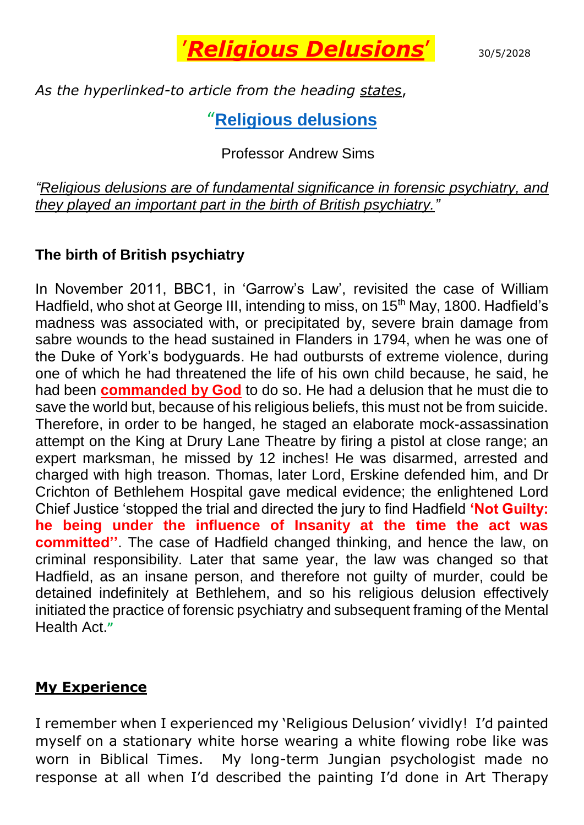

*As the hyperlinked-to article from the heading states*,

## "**[Religious delusions](https://www.rcpsych.ac.uk/pdf/Religious%20delusions%20Andrew%20Sims.pdf)**

Professor Andrew Sims

*"Religious delusions are of fundamental significance in forensic psychiatry, and they played an important part in the birth of British psychiatry."*

## **The birth of British psychiatry**

In November 2011, BBC1, in 'Garrow's Law', revisited the case of William Hadfield, who shot at George III, intending to miss, on 15<sup>th</sup> May, 1800, Hadfield's madness was associated with, or precipitated by, severe brain damage from sabre wounds to the head sustained in Flanders in 1794, when he was one of the Duke of York's bodyguards. He had outbursts of extreme violence, during one of which he had threatened the life of his own child because, he said, he had been **commanded by God** to do so. He had a delusion that he must die to save the world but, because of his religious beliefs, this must not be from suicide. Therefore, in order to be hanged, he staged an elaborate mock-assassination attempt on the King at Drury Lane Theatre by firing a pistol at close range; an expert marksman, he missed by 12 inches! He was disarmed, arrested and charged with high treason. Thomas, later Lord, Erskine defended him, and Dr Crichton of Bethlehem Hospital gave medical evidence; the enlightened Lord Chief Justice 'stopped the trial and directed the jury to find Hadfield **'Not Guilty: he being under the influence of Insanity at the time the act was committed''**. The case of Hadfield changed thinking, and hence the law, on criminal responsibility. Later that same year, the law was changed so that Hadfield, as an insane person, and therefore not guilty of murder, could be detained indefinitely at Bethlehem, and so his religious delusion effectively initiated the practice of forensic psychiatry and subsequent framing of the Mental Health Act.**"**

## **My Experience**

I remember when I experienced my 'Religious Delusion' vividly! I'd painted myself on a stationary white horse wearing a white flowing robe like was worn in Biblical Times. My long-term Jungian psychologist made no response at all when I'd described the painting I'd done in Art Therapy